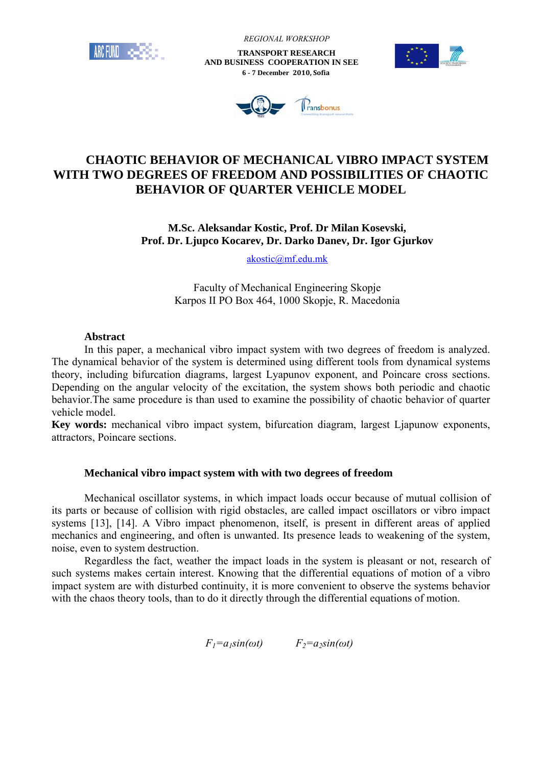

 *REGIONAL WORKSHOP*

 **TRANSPORT RESEARCH AND BUSINESS COOPERATION IN SEE 6 - 7 December 2010, Sofia**





# **CHAOTIC BEHAVIOR OF MECHANICAL VIBRO IMPACT SYSTEM WITH TWO DEGREES OF FREEDOM AND POSSIBILITIES OF CHAOTIC BEHAVIOR OF QUARTER VEHICLE MODEL**

## **M.Sc. Aleksandar Kostic, Prof. Dr Milan Kosevski, Prof. Dr. Ljupco Kocarev, Dr. Darko Danev, Dr. Igor Gjurkov**

akostic@mf.edu.mk

Faculty of Mechanical Engineering Skopje Karpos II PO Box 464, 1000 Skopje, R. Macedonia

## **Abstract**

In this paper, a mechanical vibro impact system with two degrees of freedom is analyzed. The dynamical behavior of the system is determined using different tools from dynamical systems theory, including bifurcation diagrams, largest Lyapunov exponent, and Poincare cross sections. Depending on the angular velocity of the excitation, the system shows both periodic and chaotic behavior.The same procedure is than used to examine the possibility of chaotic behavior of quarter vehicle model.

**Key words:** mechanical vibro impact system, bifurcation diagram, largest Ljapunow exponents, attractors, Poincare sections.

### **Mechanical vibro impact system with with two degrees of freedom**

Mechanical oscillator systems, in which impact loads occur because of mutual collision of its parts or because of collision with rigid obstacles, are called impact oscillators or vibro impact systems [13], [14]. A Vibro impact phenomenon, itself, is present in different areas of applied mechanics and engineering, and often is unwanted. Its presence leads to weakening of the system, noise, even to system destruction.

Regardless the fact, weather the impact loads in the system is pleasant or not, research of such systems makes certain interest. Knowing that the differential equations of motion of a vibro impact system are with disturbed continuity, it is more convenient to observe the systems behavior with the chaos theory tools, than to do it directly through the differential equations of motion.

 $F_1 = a_1 \sin(\omega t)$   $F_2 = a_2 \sin(\omega t)$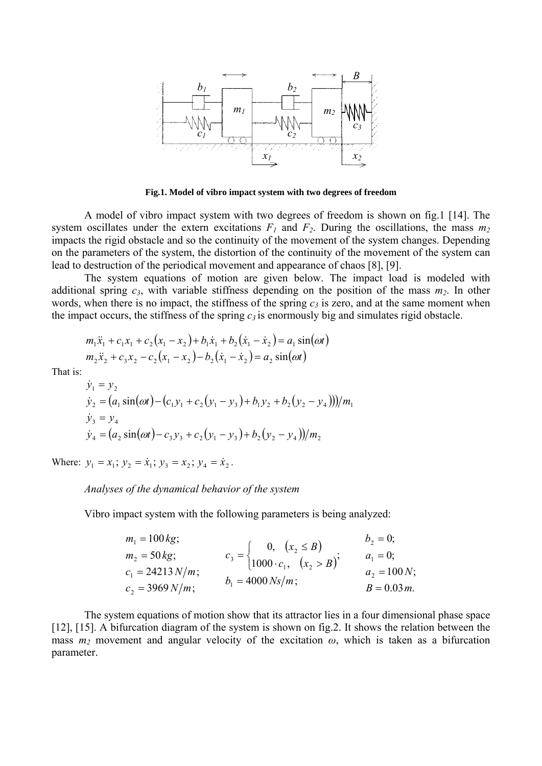

**Fig.1. Model of vibro impact system with two degrees of freedom** 

A model of vibro impact system with two degrees of freedom is shown on fig.1 [14]. The system oscillates under the extern excitations  $F_1$  and  $F_2$ . During the oscillations, the mass  $m_2$ impacts the rigid obstacle and so the continuity of the movement of the system changes. Depending on the parameters of the system, the distortion of the continuity of the movement of the system can lead to destruction of the periodical movement and appearance of chaos [8], [9].

The system equations of motion are given below. The impact load is modeled with additional spring  $c_3$ , with variable stiffness depending on the position of the mass  $m_2$ . In other words, when there is no impact, the stiffness of the spring  $c_3$  is zero, and at the same moment when the impact occurs, the stiffness of the spring  $c_3$  is enormously big and simulates rigid obstacle.

$$
m_1\ddot{x}_1 + c_1x_1 + c_2(x_1 - x_2) + b_1\dot{x}_1 + b_2(\dot{x}_1 - \dot{x}_2) = a_1\sin(\omega t)
$$
  
\n
$$
m_2\ddot{x}_2 + c_3x_2 - c_2(x_1 - x_2) - b_2(\dot{x}_1 - \dot{x}_2) = a_2\sin(\omega t)
$$

That is:

$$
\dot{y}_1 = y_2
$$
\n
$$
\dot{y}_2 = (a_1 \sin(\omega t) - (c_1 y_1 + c_2 (y_1 - y_3) + b_1 y_2 + b_2 (y_2 - y_4))) / m_1
$$
\n
$$
\dot{y}_3 = y_4
$$
\n
$$
\dot{y}_4 = (a_2 \sin(\omega t) - c_3 y_3 + c_2 (y_1 - y_3) + b_2 (y_2 - y_4)) / m_2
$$

Where:  $y_1 = x_1$ ;  $y_2 = \dot{x}_1$ ;  $y_3 = x_2$ ;  $y_4 = \dot{x}_2$ .

#### *Analyses of the dynamical behavior of the system*

Vibro impact system with the following parameters is being analyzed:

$$
m_1 = 100 kg; \t m_2 = 50 kg; \t c_3 =\begin{cases} 0, & (x_2 \le B) \\ 1000 \cdot c_1, & (x_2 > B) \end{cases}; \t n_1 = 0; \t n_2 = 100 N; \t n_3 = 4000 N s/m; \t n_4 = 0.03 m.
$$

The system equations of motion show that its attractor lies in a four dimensional phase space [12], [15]. A bifurcation diagram of the system is shown on fig.2. It shows the relation between the mass  $m_2$  movement and angular velocity of the excitation  $\omega$ , which is taken as a bifurcation parameter.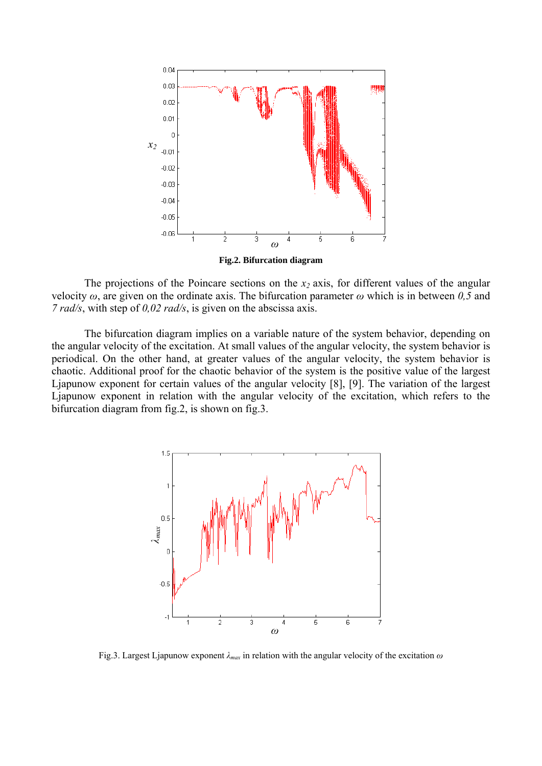

The projections of the Poincare sections on the  $x_2$  axis, for different values of the angular velocity  $\omega$ , are given on the ordinate axis. The bifurcation parameter  $\omega$  which is in between 0,5 and *7 rad/s*, with step of *0,02 rad/s*, is given on the abscissa axis.

The bifurcation diagram implies on a variable nature of the system behavior, depending on the angular velocity of the excitation. At small values of the angular velocity, the system behavior is periodical. On the other hand, at greater values of the angular velocity, the system behavior is chaotic. Additional proof for the chaotic behavior of the system is the positive value of the largest Ljapunow exponent for certain values of the angular velocity [8], [9]. The variation of the largest Ljapunow exponent in relation with the angular velocity of the excitation, which refers to the bifurcation diagram from fig.2, is shown on fig.3.



Fig.3. Largest Ljapunow exponent *λmax* in relation with the angular velocity of the excitation *ω*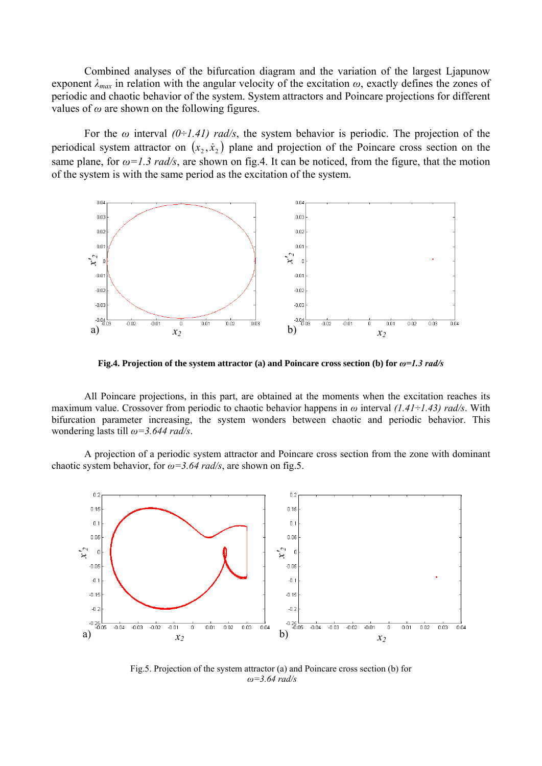Combined analyses of the bifurcation diagram and the variation of the largest Ljapunow exponent *λmax* in relation with the angular velocity of the excitation *ω*, exactly defines the zones of periodic and chaotic behavior of the system. System attractors and Poincare projections for different values of  $\omega$  are shown on the following figures.

For the *ω* interval *(0÷1.41) rad/s*, the system behavior is periodic. The projection of the periodical system attractor on  $(x_2, x_2)$  plane and projection of the Poincare cross section on the same plane, for  $\omega = 1.3$  *rad/s*, are shown on fig.4. It can be noticed, from the figure, that the motion of the system is with the same period as the excitation of the system.



**Fig.4. Projection of the system attractor (a) and Poincare cross section (b) for**  $\omega$ **=1.3 rad/s** 

 All Poincare projections, in this part, are obtained at the moments when the excitation reaches its maximum value. Crossover from periodic to chaotic behavior happens in *ω* interval *(1.41÷1.43) rad/s*. With bifurcation parameter increasing, the system wonders between chaotic and periodic behavior. This wondering lasts till *ω=3.644 rad/s*.

A projection of a periodic system attractor and Poincare cross section from the zone with dominant chaotic system behavior, for *ω=3.64 rad/s*, are shown on fig.5.



Fig.5. Projection of the system attractor (a) and Poincare cross section (b) for *ω=3.64 rad/s*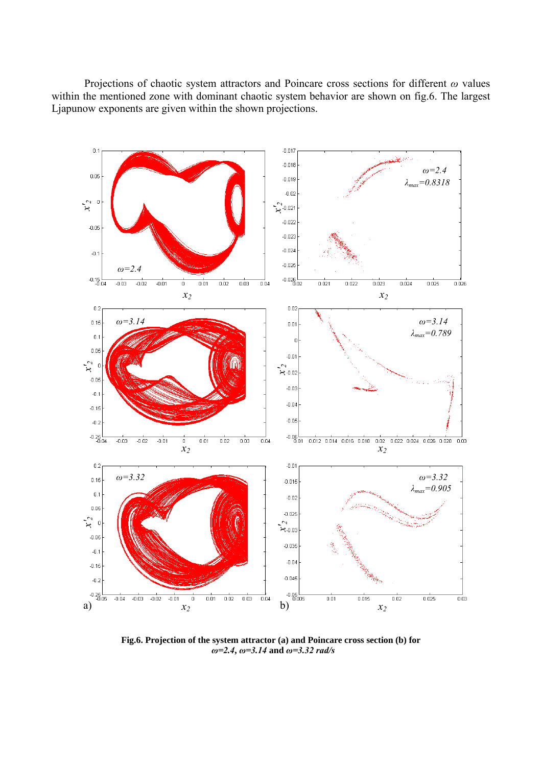Projections of chaotic system attractors and Poincare cross sections for different *ω* values within the mentioned zone with dominant chaotic system behavior are shown on fig.6. The largest Ljapunow exponents are given within the shown projections.



**Fig.6. Projection of the system attractor (a) and Poincare cross section (b) for** *ω=2.4***,** *ω=3.14* **and** *ω=3.32 rad/s*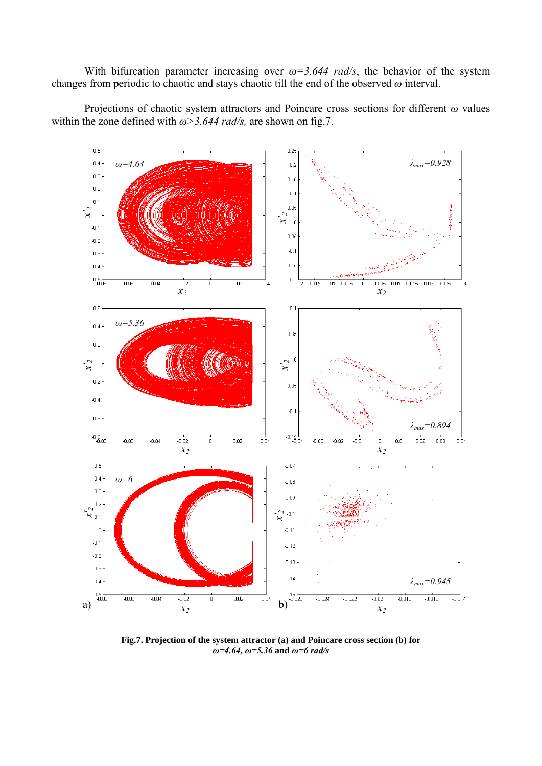With bifurcation parameter increasing over  $\omega = 3.644$  rad/s, the behavior of the system changes from periodic to chaotic and stays chaotic till the end of the observed *ω* interval.

Projections of chaotic system attractors and Poincare cross sections for different *ω* values within the zone defined with *ω>3.644 rad/s,* are shown on fig.7.



**Fig.7. Projection of the system attractor (a) and Poincare cross section (b) for**  *ω=4.64***,** *ω=5.36* **and** *ω=6 rad/s*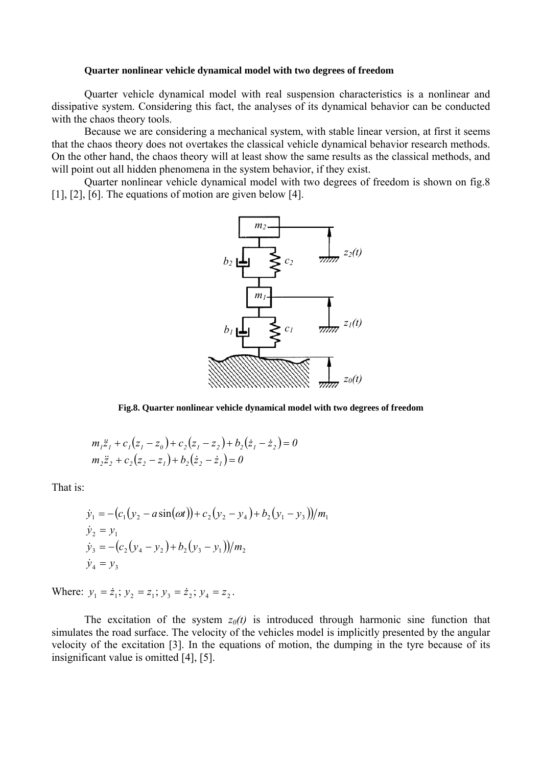#### **Quarter nonlinear vehicle dynamical model with two degrees of freedom**

Quarter vehicle dynamical model with real suspension characteristics is a nonlinear and dissipative system. Considering this fact, the analyses of its dynamical behavior can be conducted with the chaos theory tools.

Because we are considering a mechanical system, with stable linear version, at first it seems that the chaos theory does not overtakes the classical vehicle dynamical behavior research methods. On the other hand, the chaos theory will at least show the same results as the classical methods, and will point out all hidden phenomena in the system behavior, if they exist.

Quarter nonlinear vehicle dynamical model with two degrees of freedom is shown on fig.8 [1], [2], [6]. The equations of motion are given below [4].



**Fig.8. Quarter nonlinear vehicle dynamical model with two degrees of freedom** 

$$
m_1\ddot{z}_1 + c_1(z_1 - z_0) + c_2(z_1 - z_2) + b_2(\dot{z}_1 - \dot{z}_2) = 0
$$
  

$$
m_2\ddot{z}_2 + c_2(z_2 - z_1) + b_2(\dot{z}_2 - \dot{z}_1) = 0
$$

That is:

$$
\dot{y}_1 = -(c_1(y_2 - a\sin(\omega t)) + c_2(y_2 - y_4) + b_2(y_1 - y_3))/m_1
$$
  
\n
$$
\dot{y}_2 = y_1
$$
  
\n
$$
\dot{y}_3 = -(c_2(y_4 - y_2) + b_2(y_3 - y_1))/m_2
$$
  
\n
$$
\dot{y}_4 = y_3
$$

Where:  $y_1 = \dot{z}_1$ ;  $y_2 = z_1$ ;  $y_3 = \dot{z}_2$ ;  $y_4 = z_2$ .

The excitation of the system  $z_0(t)$  is introduced through harmonic sine function that simulates the road surface. The velocity of the vehicles model is implicitly presented by the angular velocity of the excitation [3]. In the equations of motion, the dumping in the tyre because of its insignificant value is omitted [4], [5].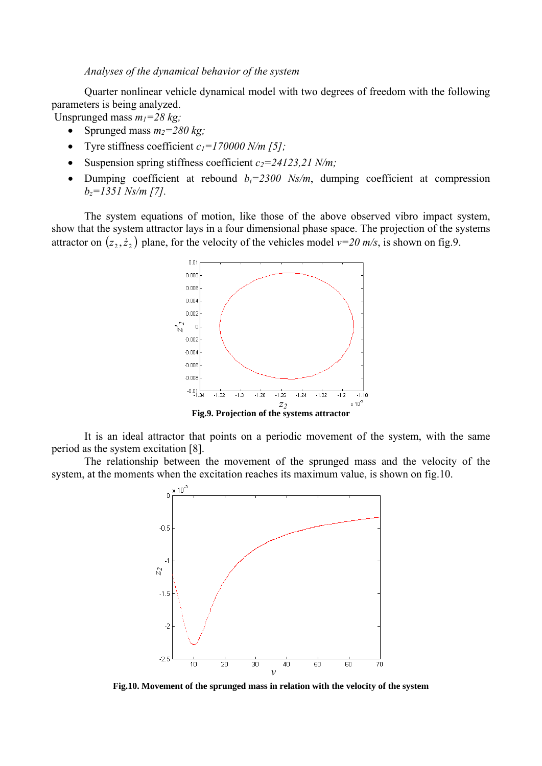*Analyses of the dynamical behavior of the system* 

 Quarter nonlinear vehicle dynamical model with two degrees of freedom with the following parameters is being analyzed.

Unsprunged mass  $m_1 = 28 \text{ kg}$ ;

- Sprunged mass  $m_2=280$  kg;
- Tyre stiffness coefficient  $c_1 = 170000$  N/m [5];
- Suspension spring stiffness coefficient  $c_2 = 24123,21$  N/m;
- Dumping coefficient at rebound  $b_i=2300$  Ns/m, dumping coefficient at compression *bz=1351 Ns/m [7].*

The system equations of motion, like those of the above observed vibro impact system, show that the system attractor lays in a four dimensional phase space. The projection of the systems attractor on  $(z_2, \dot{z}_2)$  plane, for the velocity of the vehicles model  $v=20$  m/s, is shown on fig.9.



It is an ideal attractor that points on a periodic movement of the system, with the same period as the system excitation [8].

 The relationship between the movement of the sprunged mass and the velocity of the system, at the moments when the excitation reaches its maximum value, is shown on fig.10.



**Fig.10. Movement of the sprunged mass in relation with the velocity of the system**